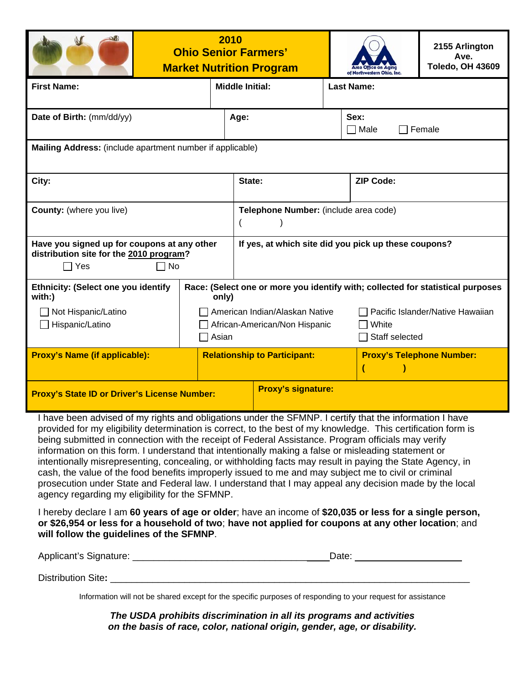

## **2010 Ohio Senior Farmers' Market Nutrition Program**



**2155 Arlington Ave. Toledo, OH 43609**

| <b>First Name:</b>                                                                                    |                                                                                          | <b>Middle Initial:</b>                               |                                                             | <b>Last Name:</b>                |  |
|-------------------------------------------------------------------------------------------------------|------------------------------------------------------------------------------------------|------------------------------------------------------|-------------------------------------------------------------|----------------------------------|--|
| Date of Birth: (mm/dd/yy)                                                                             | Age:                                                                                     |                                                      |                                                             | Sex:<br>Male<br>Female<br>$\Box$ |  |
| Mailing Address: (include apartment number if applicable)                                             |                                                                                          |                                                      |                                                             |                                  |  |
| City:                                                                                                 |                                                                                          | State:                                               |                                                             | <b>ZIP Code:</b>                 |  |
| <b>County:</b> (where you live)                                                                       |                                                                                          | Telephone Number: (include area code)                |                                                             |                                  |  |
| Have you signed up for coupons at any other<br>distribution site for the 2010 program?<br>Yes<br>  No |                                                                                          | If yes, at which site did you pick up these coupons? |                                                             |                                  |  |
| Ethnicity: (Select one you identify<br>with:)                                                         | Race: (Select one or more you identify with; collected for statistical purposes<br>only) |                                                      |                                                             |                                  |  |
| Not Hispanic/Latino<br>Hispanic/Latino                                                                | American Indian/Alaskan Native<br>African-American/Non Hispanic<br>Asian                 |                                                      | Pacific Islander/Native Hawaiian<br>White<br>Staff selected |                                  |  |
| <b>Proxy's Name (if applicable):</b>                                                                  | <b>Relationship to Participant:</b>                                                      |                                                      |                                                             | <b>Proxy's Telephone Number:</b> |  |
| <b>Proxy's State ID or Driver's License Number:</b>                                                   |                                                                                          | <b>Proxy's signature:</b>                            |                                                             |                                  |  |

I have been advised of my rights and obligations under the SFMNP. I certify that the information I have provided for my eligibility determination is correct, to the best of my knowledge. This certification form is being submitted in connection with the receipt of Federal Assistance. Program officials may verify information on this form. I understand that intentionally making a false or misleading statement or intentionally misrepresenting, concealing, or withholding facts may result in paying the State Agency, in cash, the value of the food benefits improperly issued to me and may subject me to civil or criminal prosecution under State and Federal law. I understand that I may appeal any decision made by the local agency regarding my eligibility for the SFMNP.

I hereby declare I am **60 years of age or older**; have an income of **\$20,035 or less for a single person, or \$26,954 or less for a household of two**; **have not applied for coupons at any other location**; and **will follow the guidelines of the SFMNP**.

| Applicant's Signature: | <b>uw</b> |
|------------------------|-----------|
|                        |           |

Distribution Site:

Information will not be shared except for the specific purposes of responding to your request for assistance

*The USDA prohibits discrimination in all its programs and activities on the basis of race, color, national origin, gender, age, or disability.*